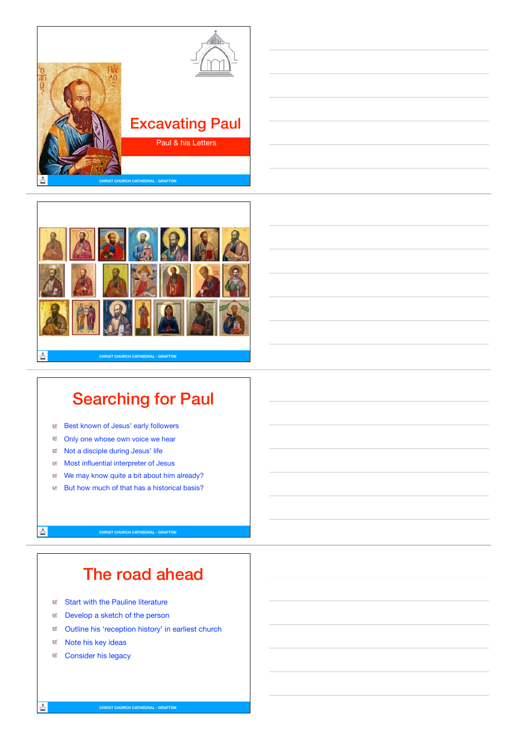



## Searching for Paul

- $\blacksquare$ Best known of Jesus' early followers
- $\overline{\mathbb{R}}$ Only one whose own voice we hear
- Not a disciple during Jesus' life
- Most influential interpreter of Jesus
- We may know quite a bit about him already?
- ⊎ But how much of that has a historical basis?

**CHRIST CHURCH CATHEDRAL • GRAFTON**

# The road ahead

- Start with the Pauline literature
- Develop a sketch of the person
- Outline his 'reception history' in earliest church
- Mote his key ideas
- e Consider his legacy

스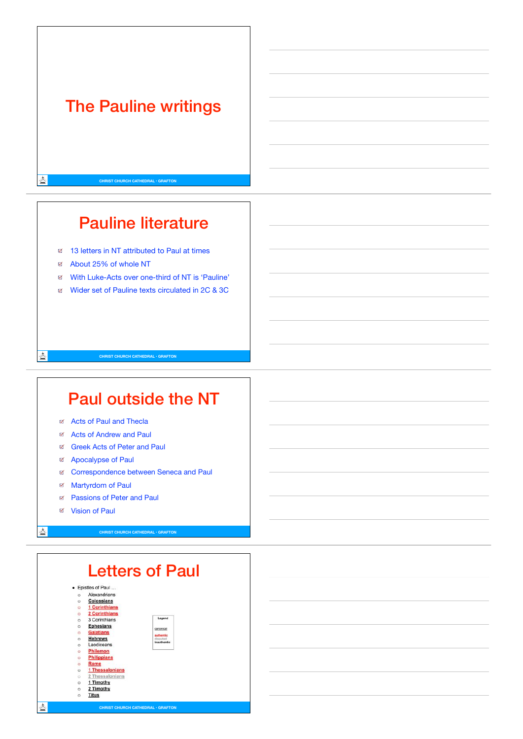## The Pauline writings

**CHRIST CHURCH CATHEDRAL • GRAFTON**

⊠ 13 letters in NT attributed to Paul at times

 $\overline{\omega}$ About 25% of whole NT

◬

查

스

With Luke-Acts over one-third of NT is 'Pauline'

Pauline literature

Wider set of Pauline texts circulated in 2C & 3C

### Paul outside the NT

**CHRIST CHURCH CATHEDRAL • GRAFTON**

- a Acts of Paul and Thecla
- Acts of Andrew and Paul
- Greek Acts of Peter and Paul
- E Apocalypse of Paul
- Correspondence between Seneca and Paul
- $\mathbb R$ Martyrdom of Paul
- Passions of Peter and Paul  $\blacksquare$
- Vision of Paul

**CHRIST CHURCH CATHEDRAL • GRAFTON**

|         | · Epistles of Paul   |                       |
|---------|----------------------|-----------------------|
| ö       | Alexandrians         |                       |
| Ö       | <b>Colossians</b>    |                       |
| $\Box$  | <b>1 Corinthians</b> |                       |
| $\circ$ | <b>2 Corinthians</b> |                       |
| O       | 3 Corinthians        | Legend                |
| ö       | <b>Ephesians</b>     | canonical             |
| ö       | <b>Galatians</b>     |                       |
| $\circ$ | <b>Hebrews</b>       | authentic<br>disputed |
| Ö       | Laodiceans           | inauthentic           |
| ö       | Philemon             |                       |
| ö       | <b>Philippians</b>   |                       |
| $\circ$ | Rome                 |                       |
| $\circ$ | 1 Thessalonians      |                       |
| ö       | 2 Thessalonians      |                       |
| $\circ$ | 1 Timothy            |                       |
| o       | 2 Timothy            |                       |
| $\circ$ | <b>Titus</b>         |                       |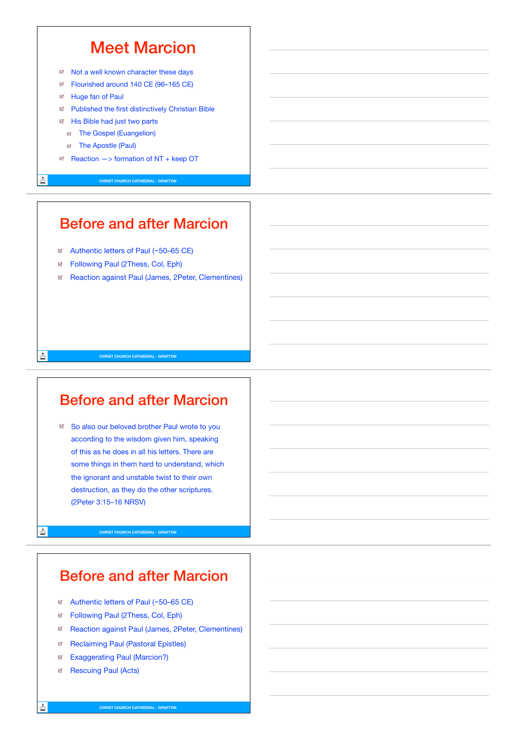### Meet Marcion

- Not a well known character these days
- Flourished around 140 CE (96–165 CE) Q.
- Huge fan of Paul  $\mathbb{R}^2$
- Published the first distinctively Christian Bible
- Fig. His Bible had just two parts
	- The Gospel (Euangelion)
	- Fig. The Apostle (Paul)
- $A^{\text{g}}$  Reaction  $\rightarrow$  formation of NT + keep OT

Â,

흐

츠

**CHRIST CHURCH CATHEDRAL • GRAFTON**

### Before and after Marcion

- ter Authentic letters of Paul (~50–65 CE)
- Following Paul (2Thess, Col, Eph)
- Reaction against Paul (James, 2Peter, Clementines)

#### Before and after Marcion

**CHRIST CHURCH CATHEDRAL • GRAFTON**

⊠ So also our beloved brother Paul wrote to you according to the wisdom given him, speaking of this as he does in all his letters. There are some things in them hard to understand, which the ignorant and unstable twist to their own destruction, as they do the other scriptures. (2Peter 3:15–16 NRSV)

**CHRIST CHURCH CATHEDRAL • GRAFTON**

#### Before and after Marcion

- ter Authentic letters of Paul (~50–65 CE)
- Following Paul (2Thess, Col, Eph)
- Reaction against Paul (James, 2Peter, Clementines) ₫
- Reclaiming Paul (Pastoral Epistles)  $\overline{M}$
- Exaggerating Paul (Marcion?) ₫
- F Rescuing Paul (Acts)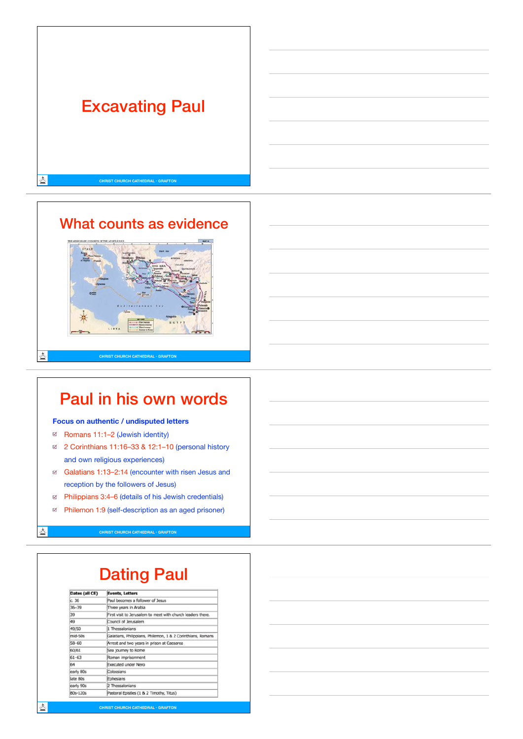

## What counts as evidence



## Paul in his own words

#### **Focus on authentic / undisputed letters**

Romans 11:1–2 (Jewish identity)

스

츠

- 2 Corinthians 11:16–33 & 12:1–10 (personal history and own religious experiences)
- Galatians 1:13–2:14 (encounter with risen Jesus and reception by the followers of Jesus)
- Philippians 3:4–6 (details of his Jewish credentials)
- Philemon 1:9 (self-description as an aged prisoner) Ø

**CHRIST CHURCH CATHEDRAL • GRAFTON**

# Dating Paul

| Dates (all CE) | <b>Events, Letters</b>                                      |
|----------------|-------------------------------------------------------------|
| c.36           | Paul becomes a follower of Jesus                            |
| $36 - 39$      | Three years in Arabia                                       |
| 39             | First visit to Jerusalem to meet with church leaders there. |
| 49             | Council of Jerusalem                                        |
| 49/50          | 1 Thessalonians                                             |
| $mid-50s$      | Galatians, Philippians, Philemon, 1 & 2 Corinthians, Romans |
| $58 - 60$      | Arrest and two years in prison at Caesarea                  |
| 60/61          | Sea journey to Rome                                         |
| $61 - 63$      | Roman imprisonment                                          |
| 64             | <b>Executed under Nero</b>                                  |
| early 80s      | Colossians                                                  |
| late 80s       | Ephesians                                                   |
| early 90s      | 2 Thessalonians                                             |
| 80s-120s       | Pastoral Epistles (1 & 2 Timothy, Titus)                    |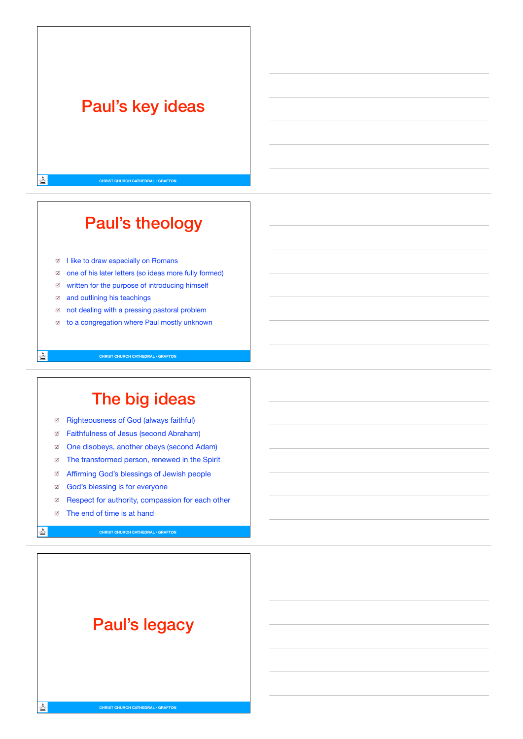## Paul's key ideas

٨

查

츠

**CHRIST CHURCH CATHEDRAL • GRAFTON**

# Paul's theology

- I like to draw especially on Romans
- one of his later letters (so ideas more fully formed)
- written for the purpose of introducing himself
- and outlining his teachings Q.
- $\mathbb R$ not dealing with a pressing pastoral problem
- to a congregation where Paul mostly unknown  $\overline{\omega}$

**CHRIST CHURCH CATHEDRAL • GRAFTON**

## The big ideas

- Righteousness of God (always faithful) ⊌
- Faithfulness of Jesus (second Abraham)
- One disobeys, another obeys (second Adam)
- The transformed person, renewed in the Spirit
- Affirming God's blessings of Jewish people
- g God's blessing is for everyone
- E Respect for authority, compassion for each other
- The end of time is at hand

**CHRIST CHURCH CATHEDRAL • GRAFTON**

# Paul's legacy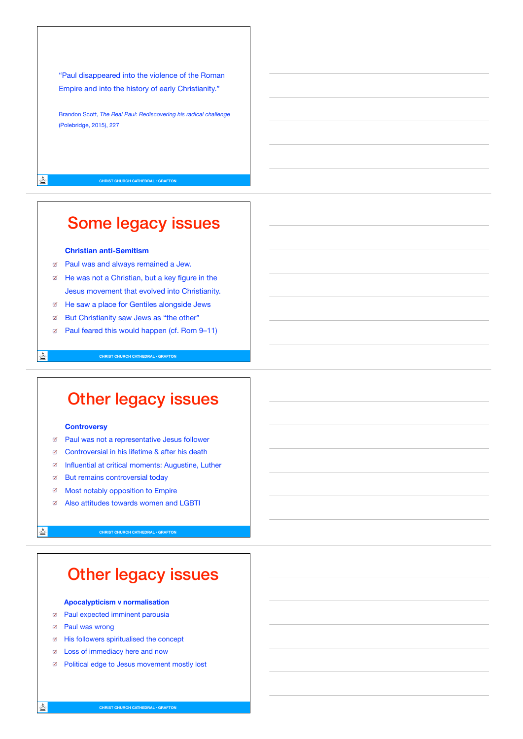"Paul disappeared into the violence of the Roman Empire and into the history of early Christianity."

Brandon Scott, *The Real Paul: Rediscovering his radical challenge* (Polebridge, 2015), 227

**CHRIST CHURCH CATHEDRAL • GRAFTON**

٨

스

态

## Some legacy issues

#### **Christian anti-Semitism**

- Paul was and always remained a Jew.
- E He was not a Christian, but a key figure in the Jesus movement that evolved into Christianity.
- He saw a place for Gentiles alongside Jews
- $\blacksquare$ But Christianity saw Jews as "the other"
- Paul feared this would happen (cf. Rom 9–11)

**CHRIST CHURCH CATHEDRAL • GRAFTON**

### Other legacy issues

#### **Controversy**

- Paul was not a representative Jesus follower
- Controversial in his lifetime & after his death
- Influential at critical moments: Augustine, Luther
- E But remains controversial today
- ₫ Most notably opposition to Empire
- ø Also attitudes towards women and LGBTI

**CHRIST CHURCH CATHEDRAL • GRAFTON**

## Other legacy issues

#### **Apocalypticism v normalisation**

- a Paul expected imminent parousia
- Paul was wrong  $\triangledown$
- His followers spiritualised the concept
- Loss of immediacy here and now
- Political edge to Jesus movement mostly lost